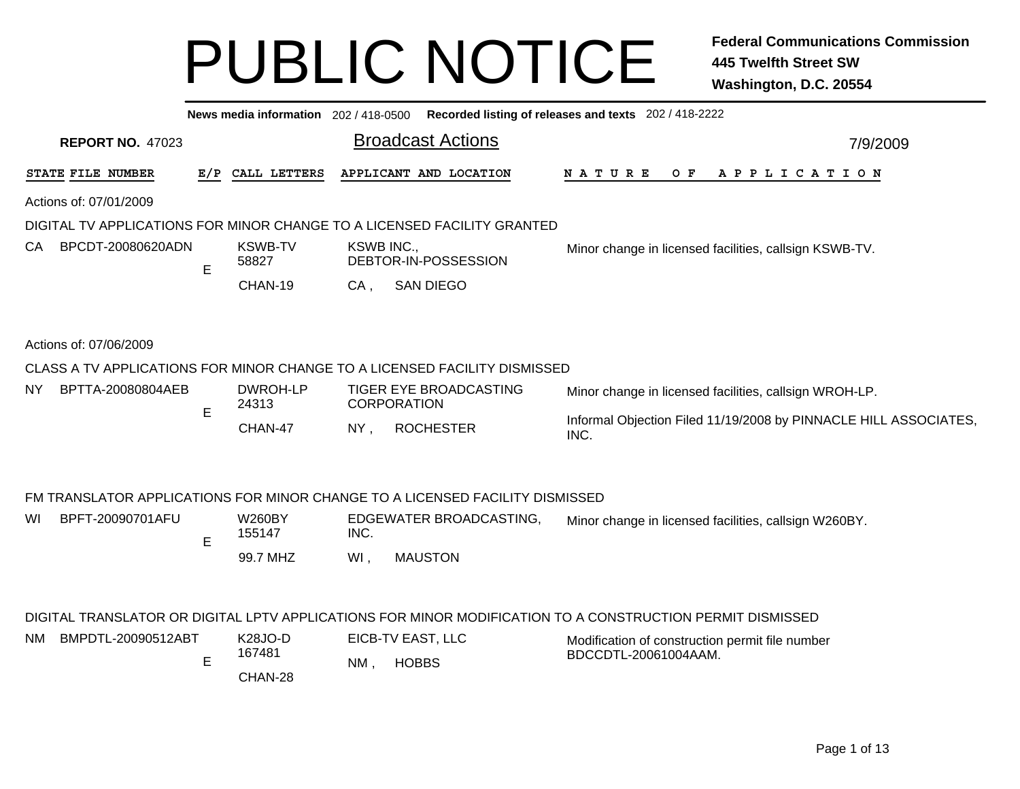|                                                                                                     |     | News media information 202/418-0500 |             |                                                                                                                           | Recorded listing of releases and texts 202 / 418-2222                                                     |  |  |  |  |  |
|-----------------------------------------------------------------------------------------------------|-----|-------------------------------------|-------------|---------------------------------------------------------------------------------------------------------------------------|-----------------------------------------------------------------------------------------------------------|--|--|--|--|--|
| <b>REPORT NO. 47023</b>                                                                             |     |                                     |             | <b>Broadcast Actions</b>                                                                                                  | 7/9/2009                                                                                                  |  |  |  |  |  |
| STATE FILE NUMBER                                                                                   | E/P | CALL LETTERS                        |             | APPLICANT AND LOCATION                                                                                                    | OF APPLICATION<br>N A T U R E                                                                             |  |  |  |  |  |
| Actions of: 07/01/2009                                                                              |     |                                     |             |                                                                                                                           |                                                                                                           |  |  |  |  |  |
|                                                                                                     |     |                                     |             | DIGITAL TV APPLICATIONS FOR MINOR CHANGE TO A LICENSED FACILITY GRANTED                                                   |                                                                                                           |  |  |  |  |  |
| BPCDT-20080620ADN<br>CA.                                                                            | E   | <b>KSWB-TV</b><br>58827             | KSWB INC.,  | DEBTOR-IN-POSSESSION                                                                                                      | Minor change in licensed facilities, callsign KSWB-TV.                                                    |  |  |  |  |  |
|                                                                                                     |     | CHAN-19                             | $CA$ ,      | <b>SAN DIEGO</b>                                                                                                          |                                                                                                           |  |  |  |  |  |
| Actions of: 07/06/2009<br>CLASS A TV APPLICATIONS FOR MINOR CHANGE TO A LICENSED FACILITY DISMISSED |     |                                     |             |                                                                                                                           |                                                                                                           |  |  |  |  |  |
|                                                                                                     |     |                                     |             |                                                                                                                           |                                                                                                           |  |  |  |  |  |
| BPTTA-20080804AEB<br>NY.                                                                            | E   | DWROH-LP<br>24313                   |             | TIGER EYE BROADCASTING<br><b>CORPORATION</b>                                                                              | Minor change in licensed facilities, callsign WROH-LP.                                                    |  |  |  |  |  |
|                                                                                                     |     | CHAN-47                             | $NY$ ,      | <b>ROCHESTER</b>                                                                                                          | Informal Objection Filed 11/19/2008 by PINNACLE HILL ASSOCIATES,<br>INC.                                  |  |  |  |  |  |
| BPFT-20090701AFU<br>WI                                                                              | E   | <b>W260BY</b><br>155147<br>99.7 MHZ | INC.<br>WI, | FM TRANSLATOR APPLICATIONS FOR MINOR CHANGE TO A LICENSED FACILITY DISMISSED<br>EDGEWATER BROADCASTING,<br><b>MAUSTON</b> | Minor change in licensed facilities, callsign W260BY.                                                     |  |  |  |  |  |
|                                                                                                     |     |                                     |             |                                                                                                                           | DIGITAL TRANSLATOR OR DIGITAL LPTV APPLICATIONS FOR MINOR MODIFICATION TO A CONSTRUCTION PERMIT DISMISSED |  |  |  |  |  |
| BMPDTL-20090512ABT<br>NM.                                                                           | E   | <b>K28JO-D</b><br>167481<br>CHAN-28 | NM.         | EICB-TV EAST, LLC<br><b>HOBBS</b>                                                                                         | Modification of construction permit file number<br>BDCCDTL-20061004AAM.                                   |  |  |  |  |  |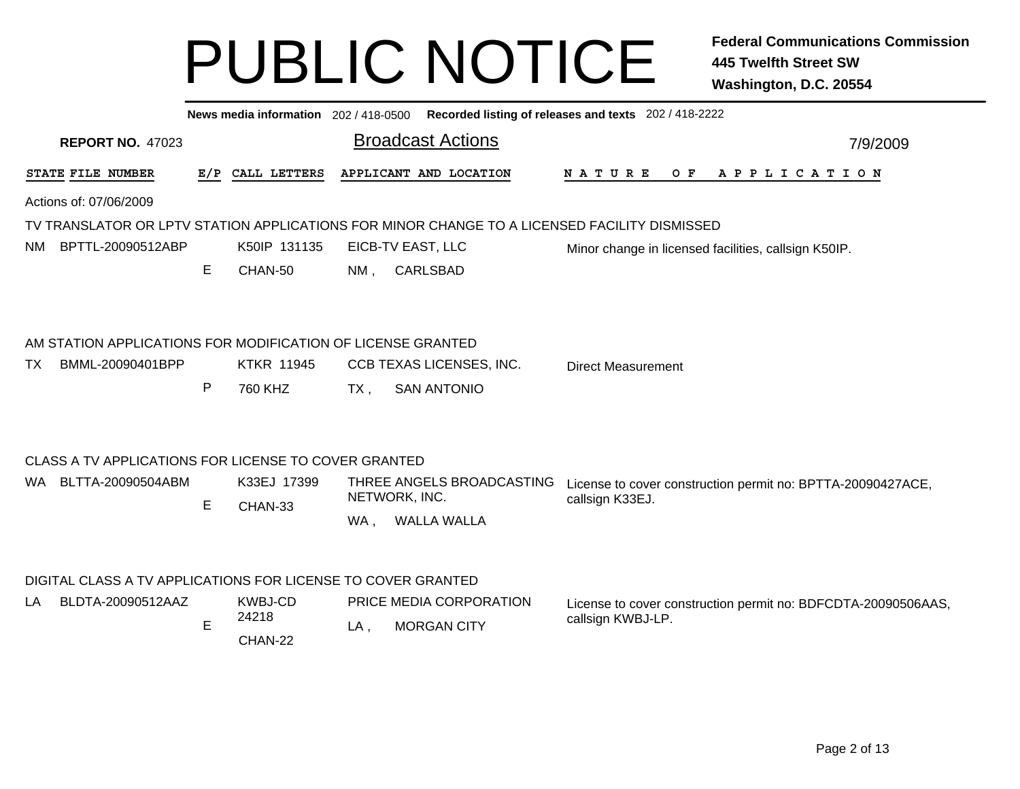|    | Recorded listing of releases and texts 202 / 418-2222<br>News media information 202 / 418-0500 |     |                   |        |                                                                                              |                                                               |  |  |  |  |  |  |
|----|------------------------------------------------------------------------------------------------|-----|-------------------|--------|----------------------------------------------------------------------------------------------|---------------------------------------------------------------|--|--|--|--|--|--|
|    | <b>REPORT NO. 47023</b>                                                                        |     |                   |        | <b>Broadcast Actions</b>                                                                     | 7/9/2009                                                      |  |  |  |  |  |  |
|    | STATE FILE NUMBER                                                                              | E/P | CALL LETTERS      |        | APPLICANT AND LOCATION                                                                       | N A T U R E<br>O F<br>A P P L I C A T I O N                   |  |  |  |  |  |  |
|    | Actions of: 07/06/2009                                                                         |     |                   |        |                                                                                              |                                                               |  |  |  |  |  |  |
|    |                                                                                                |     |                   |        | TV TRANSLATOR OR LPTV STATION APPLICATIONS FOR MINOR CHANGE TO A LICENSED FACILITY DISMISSED |                                                               |  |  |  |  |  |  |
|    | NM BPTTL-20090512ABP                                                                           |     | K50IP 131135      |        | EICB-TV EAST, LLC                                                                            | Minor change in licensed facilities, callsign K50IP.          |  |  |  |  |  |  |
|    |                                                                                                | Е   | CHAN-50           | $NM$ , | <b>CARLSBAD</b>                                                                              |                                                               |  |  |  |  |  |  |
|    | AM STATION APPLICATIONS FOR MODIFICATION OF LICENSE GRANTED                                    |     |                   |        |                                                                                              |                                                               |  |  |  |  |  |  |
| TX | BMML-20090401BPP                                                                               |     | <b>KTKR 11945</b> |        | CCB TEXAS LICENSES, INC.                                                                     | <b>Direct Measurement</b>                                     |  |  |  |  |  |  |
|    |                                                                                                | P   | 760 KHZ           | $TX$ , | <b>SAN ANTONIO</b>                                                                           |                                                               |  |  |  |  |  |  |
|    | CLASS A TV APPLICATIONS FOR LICENSE TO COVER GRANTED                                           |     |                   |        |                                                                                              |                                                               |  |  |  |  |  |  |
|    | WA BLTTA-20090504ABM                                                                           |     | K33EJ 17399       |        | THREE ANGELS BROADCASTING<br>NETWORK, INC.                                                   | License to cover construction permit no: BPTTA-20090427ACE,   |  |  |  |  |  |  |
|    |                                                                                                | E   | CHAN-33           |        |                                                                                              | callsign K33EJ.                                               |  |  |  |  |  |  |
|    |                                                                                                |     |                   | WA.    | WALLA WALLA                                                                                  |                                                               |  |  |  |  |  |  |
|    | DIGITAL CLASS A TV APPLICATIONS FOR LICENSE TO COVER GRANTED                                   |     |                   |        |                                                                                              |                                                               |  |  |  |  |  |  |
| LA | BLDTA-20090512AAZ                                                                              |     | KWBJ-CD           |        | PRICE MEDIA CORPORATION                                                                      | License to cover construction permit no: BDFCDTA-20090506AAS, |  |  |  |  |  |  |
|    |                                                                                                | E   | 24218             | $LA$ , | <b>MORGAN CITY</b>                                                                           | callsign KWBJ-LP.                                             |  |  |  |  |  |  |
|    |                                                                                                |     | CHAN-22           |        |                                                                                              |                                                               |  |  |  |  |  |  |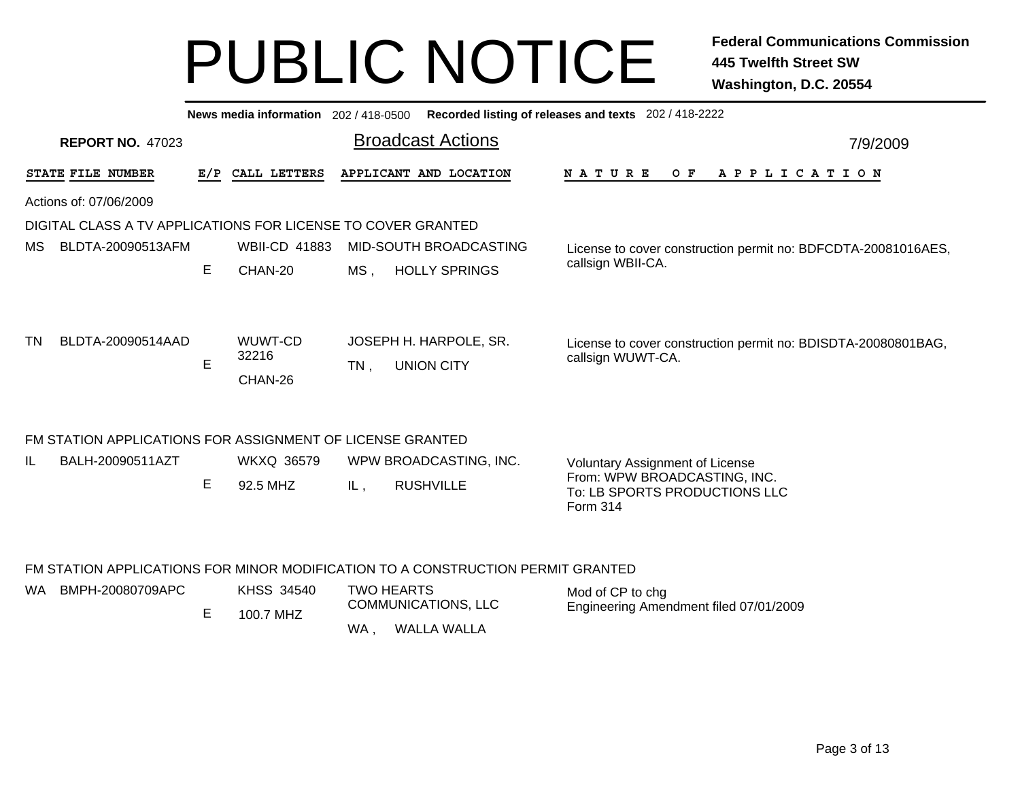|                                                              |   |                                | News media information 202 / 418-0500 Recorded listing of releases and texts 202 / 418-2222                                                                                                                                   |          |  |  |  |  |  |  |
|--------------------------------------------------------------|---|--------------------------------|-------------------------------------------------------------------------------------------------------------------------------------------------------------------------------------------------------------------------------|----------|--|--|--|--|--|--|
| <b>REPORT NO. 47023</b>                                      |   |                                | <b>Broadcast Actions</b>                                                                                                                                                                                                      | 7/9/2009 |  |  |  |  |  |  |
| STATE FILE NUMBER                                            |   | E/P CALL LETTERS               | APPLICANT AND LOCATION<br>N A T U R E<br>$O$ $F$<br>APPLICATION                                                                                                                                                               |          |  |  |  |  |  |  |
| Actions of: 07/06/2009                                       |   |                                |                                                                                                                                                                                                                               |          |  |  |  |  |  |  |
| DIGITAL CLASS A TV APPLICATIONS FOR LICENSE TO COVER GRANTED |   |                                |                                                                                                                                                                                                                               |          |  |  |  |  |  |  |
| MS.<br>BLDTA-20090513AFM                                     |   | <b>WBII-CD 41883</b>           | MID-SOUTH BROADCASTING<br>License to cover construction permit no: BDFCDTA-20081016AES,                                                                                                                                       |          |  |  |  |  |  |  |
|                                                              | E | CHAN-20                        | callsign WBII-CA.<br><b>HOLLY SPRINGS</b><br>MS.                                                                                                                                                                              |          |  |  |  |  |  |  |
| BLDTA-20090514AAD<br>TN                                      | E | WUWT-CD<br>32216<br>CHAN-26    | JOSEPH H. HARPOLE, SR.<br>License to cover construction permit no: BDISDTA-20080801BAG,<br>callsign WUWT-CA.<br><b>UNION CITY</b><br>$TN$ ,                                                                                   |          |  |  |  |  |  |  |
| FM STATION APPLICATIONS FOR ASSIGNMENT OF LICENSE GRANTED    |   |                                |                                                                                                                                                                                                                               |          |  |  |  |  |  |  |
| BALH-20090511AZT<br>IL                                       | E | <b>WKXQ 36579</b><br>92.5 MHZ  | WPW BROADCASTING, INC.<br><b>Voluntary Assignment of License</b><br>From: WPW BROADCASTING, INC.<br><b>RUSHVILLE</b><br>IL,<br>To: LB SPORTS PRODUCTIONS LLC<br>Form 314                                                      |          |  |  |  |  |  |  |
| BMPH-20080709APC<br>WA.                                      | E | <b>KHSS 34540</b><br>100.7 MHZ | FM STATION APPLICATIONS FOR MINOR MODIFICATION TO A CONSTRUCTION PERMIT GRANTED<br><b>TWO HEARTS</b><br>Mod of CP to chg<br><b>COMMUNICATIONS, LLC</b><br>Engineering Amendment filed 07/01/2009<br><b>WALLA WALLA</b><br>WA. |          |  |  |  |  |  |  |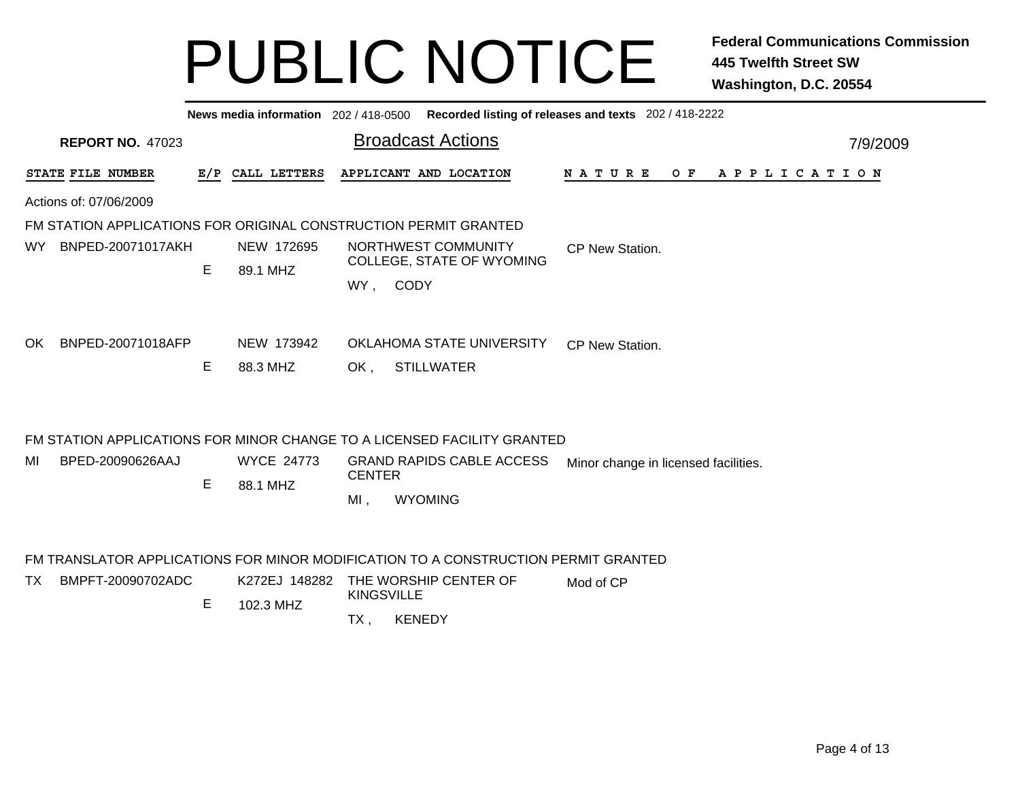|                                                                                    |   |                               |                                                   | News media information 202 / 418-0500 Recorded listing of releases and texts 202 / 418-2222 |           |                                      |  |  |  |  |  |     |  |  |                       |  |  |          |
|------------------------------------------------------------------------------------|---|-------------------------------|---------------------------------------------------|---------------------------------------------------------------------------------------------|-----------|--------------------------------------|--|--|--|--|--|-----|--|--|-----------------------|--|--|----------|
| <b>REPORT NO. 47023</b>                                                            |   |                               |                                                   | <b>Broadcast Actions</b>                                                                    |           |                                      |  |  |  |  |  |     |  |  |                       |  |  | 7/9/2009 |
| STATE FILE NUMBER                                                                  |   | E/P CALL LETTERS              |                                                   | APPLICANT AND LOCATION                                                                      |           | N A T U R E                          |  |  |  |  |  | O F |  |  | A P P L I C A T I O N |  |  |          |
| Actions of: 07/06/2009                                                             |   |                               |                                                   |                                                                                             |           |                                      |  |  |  |  |  |     |  |  |                       |  |  |          |
| FM STATION APPLICATIONS FOR ORIGINAL CONSTRUCTION PERMIT GRANTED                   |   |                               |                                                   |                                                                                             |           |                                      |  |  |  |  |  |     |  |  |                       |  |  |          |
| BNPED-20071017AKH<br>WY.                                                           | E | NEW 172695<br>89.1 MHZ        |                                                   | NORTHWEST COMMUNITY<br>COLLEGE, STATE OF WYOMING<br>WY, CODY                                |           | CP New Station.                      |  |  |  |  |  |     |  |  |                       |  |  |          |
| BNPED-20071018AFP<br>OK.                                                           | Е | NEW 173942<br>88.3 MHZ        | OK,                                               | OKLAHOMA STATE UNIVERSITY<br><b>STILLWATER</b>                                              |           | CP New Station.                      |  |  |  |  |  |     |  |  |                       |  |  |          |
|                                                                                    |   |                               |                                                   | FM STATION APPLICATIONS FOR MINOR CHANGE TO A LICENSED FACILITY GRANTED                     |           |                                      |  |  |  |  |  |     |  |  |                       |  |  |          |
| BPED-20090626AAJ<br>MI                                                             | E | <b>WYCE 24773</b><br>88.1 MHZ | <b>GRAND RAPIDS CABLE ACCESS</b><br><b>CENTER</b> |                                                                                             |           | Minor change in licensed facilities. |  |  |  |  |  |     |  |  |                       |  |  |          |
|                                                                                    |   |                               | $MI$ ,                                            | <b>WYOMING</b>                                                                              |           |                                      |  |  |  |  |  |     |  |  |                       |  |  |          |
| FM TRANSLATOR APPLICATIONS FOR MINOR MODIFICATION TO A CONSTRUCTION PERMIT GRANTED |   |                               |                                                   |                                                                                             |           |                                      |  |  |  |  |  |     |  |  |                       |  |  |          |
| BMPFT-20090702ADC<br>TX.                                                           | E | K272EJ 148282<br>102.3 MHZ    | <b>KINGSVILLE</b>                                 | THE WORSHIP CENTER OF                                                                       | Mod of CP |                                      |  |  |  |  |  |     |  |  |                       |  |  |          |
|                                                                                    |   |                               | TX,                                               | <b>KENEDY</b>                                                                               |           |                                      |  |  |  |  |  |     |  |  |                       |  |  |          |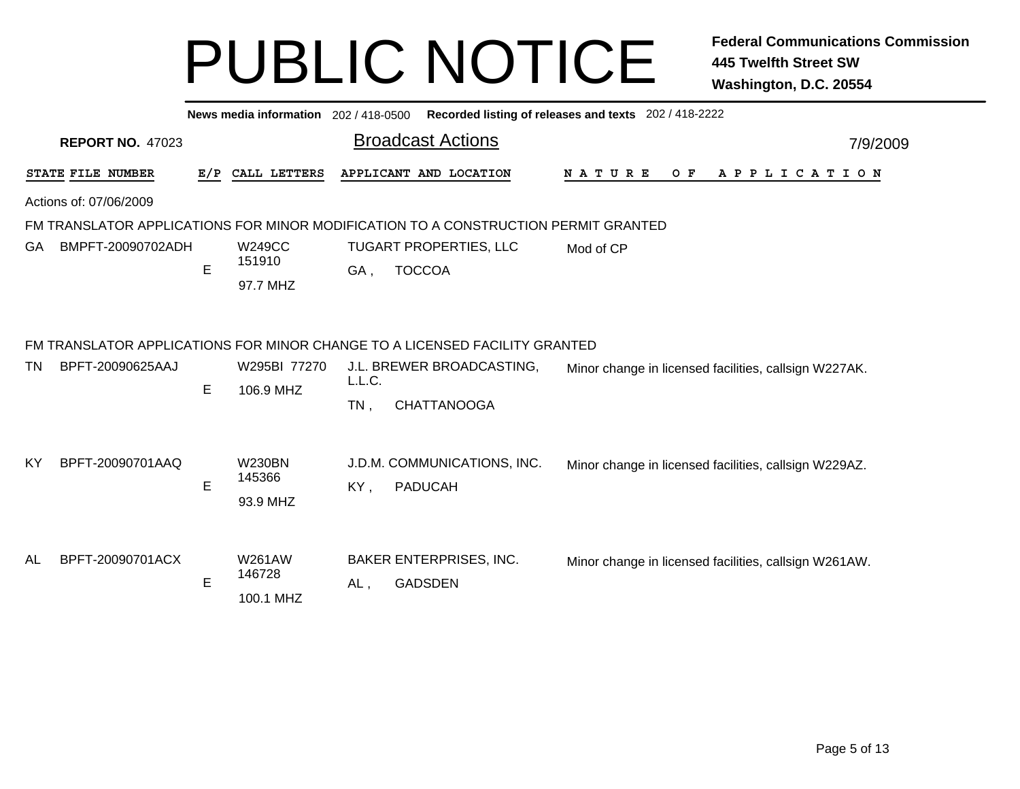|     |                         |             | News media information 202 / 418-0500 |                  |                                                                                    | Recorded listing of releases and texts 202 / 418-2222 |
|-----|-------------------------|-------------|---------------------------------------|------------------|------------------------------------------------------------------------------------|-------------------------------------------------------|
|     | <b>REPORT NO. 47023</b> |             |                                       |                  | <b>Broadcast Actions</b>                                                           | 7/9/2009                                              |
|     | STATE FILE NUMBER       | E/P         | CALL LETTERS                          |                  | APPLICANT AND LOCATION                                                             | NATURE<br>$O$ $F$<br>A P P L I C A T I O N            |
|     | Actions of: 07/06/2009  |             |                                       |                  |                                                                                    |                                                       |
|     |                         |             |                                       |                  | FM TRANSLATOR APPLICATIONS FOR MINOR MODIFICATION TO A CONSTRUCTION PERMIT GRANTED |                                                       |
| GA. | BMPFT-20090702ADH       | $\mathsf E$ | <b>W249CC</b><br>151910<br>97.7 MHZ   | GA.              | <b>TUGART PROPERTIES, LLC</b><br><b>TOCCOA</b>                                     | Mod of CP                                             |
|     |                         |             |                                       |                  | FM TRANSLATOR APPLICATIONS FOR MINOR CHANGE TO A LICENSED FACILITY GRANTED         |                                                       |
| TN  | BPFT-20090625AAJ        | E           | W295BI 77270<br>106.9 MHZ             | L.L.C.<br>$TN$ , | J.L. BREWER BROADCASTING,<br><b>CHATTANOOGA</b>                                    | Minor change in licensed facilities, callsign W227AK. |
| KY. | BPFT-20090701AAQ        | E           | <b>W230BN</b><br>145366<br>93.9 MHZ   | KY,              | J.D.M. COMMUNICATIONS, INC.<br><b>PADUCAH</b>                                      | Minor change in licensed facilities, callsign W229AZ. |
| AL  | BPFT-20090701ACX        | E           | <b>W261AW</b><br>146728<br>100.1 MHZ  | AL,              | <b>BAKER ENTERPRISES, INC.</b><br><b>GADSDEN</b>                                   | Minor change in licensed facilities, callsign W261AW. |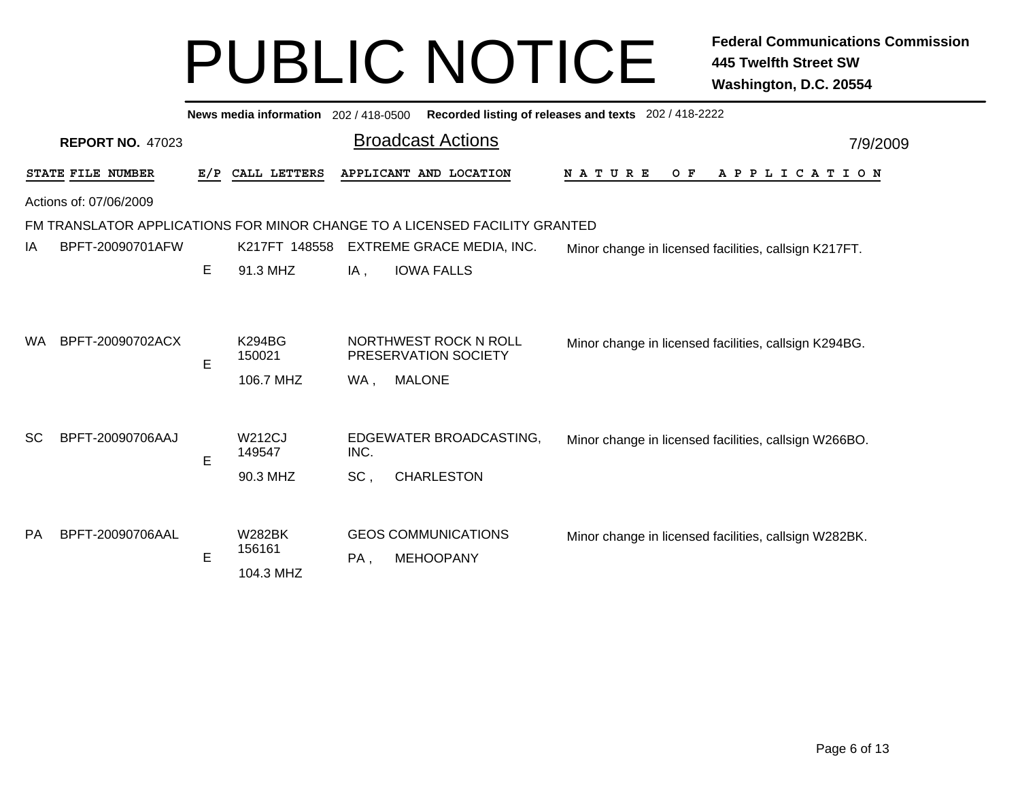|           |                                                                            |   | News media information 202 / 418-0500 |        |                                                                | Recorded listing of releases and texts 202 / 418-2222 |  |  |  |  |
|-----------|----------------------------------------------------------------------------|---|---------------------------------------|--------|----------------------------------------------------------------|-------------------------------------------------------|--|--|--|--|
|           | <b>REPORT NO. 47023</b>                                                    |   |                                       |        | <b>Broadcast Actions</b>                                       | 7/9/2009                                              |  |  |  |  |
|           | STATE FILE NUMBER                                                          |   | E/P CALL LETTERS                      |        | APPLICANT AND LOCATION                                         | N A T U R E<br>A P P L I C A T I O N<br>O F           |  |  |  |  |
|           | Actions of: 07/06/2009                                                     |   |                                       |        |                                                                |                                                       |  |  |  |  |
|           | FM TRANSLATOR APPLICATIONS FOR MINOR CHANGE TO A LICENSED FACILITY GRANTED |   |                                       |        |                                                                |                                                       |  |  |  |  |
| IA        | BPFT-20090701AFW                                                           |   | K217FT 148558                         |        | EXTREME GRACE MEDIA, INC.                                      | Minor change in licensed facilities, callsign K217FT. |  |  |  |  |
|           |                                                                            | E | 91.3 MHZ                              | $IA$ , | <b>IOWA FALLS</b>                                              |                                                       |  |  |  |  |
| WA.       | BPFT-20090702ACX                                                           | E | K294BG<br>150021<br>106.7 MHZ         | WA,    | NORTHWEST ROCK N ROLL<br>PRESERVATION SOCIETY<br><b>MALONE</b> | Minor change in licensed facilities, callsign K294BG. |  |  |  |  |
| <b>SC</b> | BPFT-20090706AAJ                                                           |   | <b>W212CJ</b><br>149547               | INC.   | EDGEWATER BROADCASTING,                                        | Minor change in licensed facilities, callsign W266BO. |  |  |  |  |
|           |                                                                            | E | 90.3 MHZ                              | SC,    | <b>CHARLESTON</b>                                              |                                                       |  |  |  |  |
| <b>PA</b> | BPFT-20090706AAL                                                           | E | <b>W282BK</b><br>156161<br>104.3 MHZ  | PA,    | <b>GEOS COMMUNICATIONS</b><br><b>MEHOOPANY</b>                 | Minor change in licensed facilities, callsign W282BK. |  |  |  |  |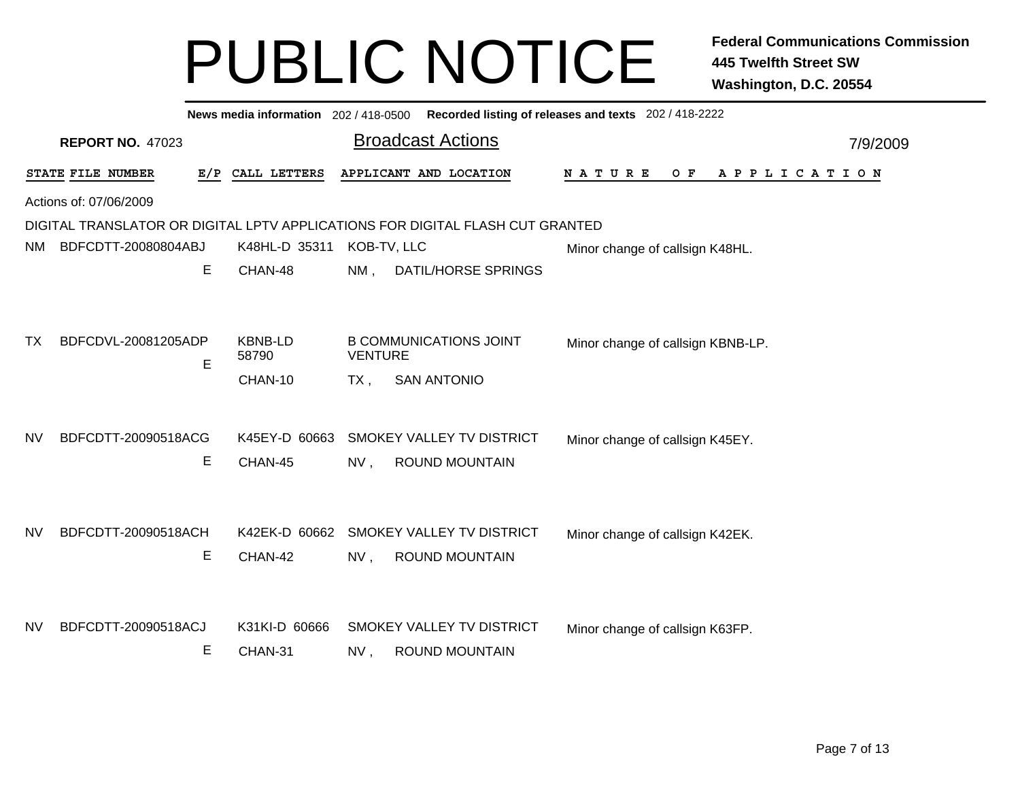|           |                          |                                    | News media information 202/418-0500 Recorded listing of releases and texts 202/418-2222 |                                             |  |
|-----------|--------------------------|------------------------------------|-----------------------------------------------------------------------------------------|---------------------------------------------|--|
|           | <b>REPORT NO. 47023</b>  |                                    | <b>Broadcast Actions</b>                                                                | 7/9/2009                                    |  |
|           | STATE FILE NUMBER        | E/P CALL LETTERS                   | APPLICANT AND LOCATION                                                                  | A P P L I C A T I O N<br>N A T U R E<br>O F |  |
|           | Actions of: 07/06/2009   |                                    |                                                                                         |                                             |  |
|           |                          |                                    | DIGITAL TRANSLATOR OR DIGITAL LPTV APPLICATIONS FOR DIGITAL FLASH CUT GRANTED           |                                             |  |
| NM.       | BDFCDTT-20080804ABJ      | K48HL-D 35311                      | KOB-TV, LLC                                                                             | Minor change of callsign K48HL.             |  |
|           | Е                        | CHAN-48                            | NM,<br><b>DATIL/HORSE SPRINGS</b>                                                       |                                             |  |
| ТX        | BDFCDVL-20081205ADP<br>E | <b>KBNB-LD</b><br>58790<br>CHAN-10 | <b>B COMMUNICATIONS JOINT</b><br><b>VENTURE</b><br>TX,<br><b>SAN ANTONIO</b>            | Minor change of callsign KBNB-LP.           |  |
| <b>NV</b> | BDFCDTT-20090518ACG<br>Е | K45EY-D 60663<br>CHAN-45           | SMOKEY VALLEY TV DISTRICT<br>ROUND MOUNTAIN<br>NV,                                      | Minor change of callsign K45EY.             |  |
| <b>NV</b> | BDFCDTT-20090518ACH<br>Е | CHAN-42                            | K42EK-D 60662 SMOKEY VALLEY TV DISTRICT<br><b>ROUND MOUNTAIN</b><br>NV,                 | Minor change of callsign K42EK.             |  |
| <b>NV</b> | BDFCDTT-20090518ACJ<br>Е | K31KI-D 60666<br>CHAN-31           | SMOKEY VALLEY TV DISTRICT<br><b>ROUND MOUNTAIN</b><br>NV,                               | Minor change of callsign K63FP.             |  |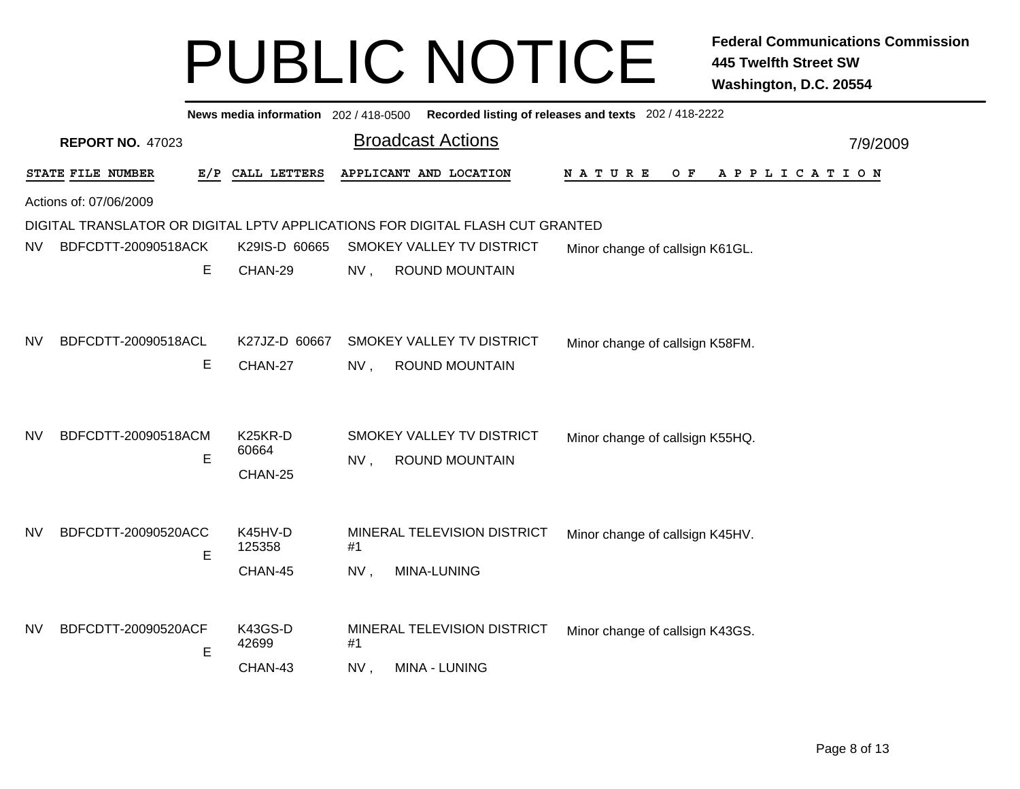|           |                          |                                          | News media information 202 / 418-0500 Recorded listing of releases and texts 202 / 418-2222         |          |
|-----------|--------------------------|------------------------------------------|-----------------------------------------------------------------------------------------------------|----------|
|           | <b>REPORT NO. 47023</b>  |                                          | <b>Broadcast Actions</b>                                                                            | 7/9/2009 |
|           | STATE FILE NUMBER        | E/P<br>CALL LETTERS                      | APPLICANT AND LOCATION<br>NATURE<br>A P P L I C A T I O N<br>O F                                    |          |
|           | Actions of: 07/06/2009   |                                          |                                                                                                     |          |
|           |                          |                                          | DIGITAL TRANSLATOR OR DIGITAL LPTV APPLICATIONS FOR DIGITAL FLASH CUT GRANTED                       |          |
| <b>NV</b> | BDFCDTT-20090518ACK      | K29IS-D 60665                            | SMOKEY VALLEY TV DISTRICT<br>Minor change of callsign K61GL.                                        |          |
|           | E                        | CHAN-29                                  | <b>ROUND MOUNTAIN</b><br>NV,                                                                        |          |
| NV        | BDFCDTT-20090518ACL<br>Е | K27JZ-D 60667<br>CHAN-27                 | SMOKEY VALLEY TV DISTRICT<br>Minor change of callsign K58FM.<br><b>ROUND MOUNTAIN</b><br>NV,        |          |
| NV        | BDFCDTT-20090518ACM<br>E | K <sub>25</sub> KR-D<br>60664<br>CHAN-25 | SMOKEY VALLEY TV DISTRICT<br>Minor change of callsign K55HQ.<br><b>ROUND MOUNTAIN</b><br>NV,        |          |
| <b>NV</b> | BDFCDTT-20090520ACC<br>E | K45HV-D<br>125358<br>CHAN-45             | MINERAL TELEVISION DISTRICT<br>Minor change of callsign K45HV.<br>#1<br>MINA-LUNING<br>NV,          |          |
| <b>NV</b> | BDFCDTT-20090520ACF<br>E | K43GS-D<br>42699<br>CHAN-43              | MINERAL TELEVISION DISTRICT<br>Minor change of callsign K43GS.<br>#1<br>NV,<br><b>MINA - LUNING</b> |          |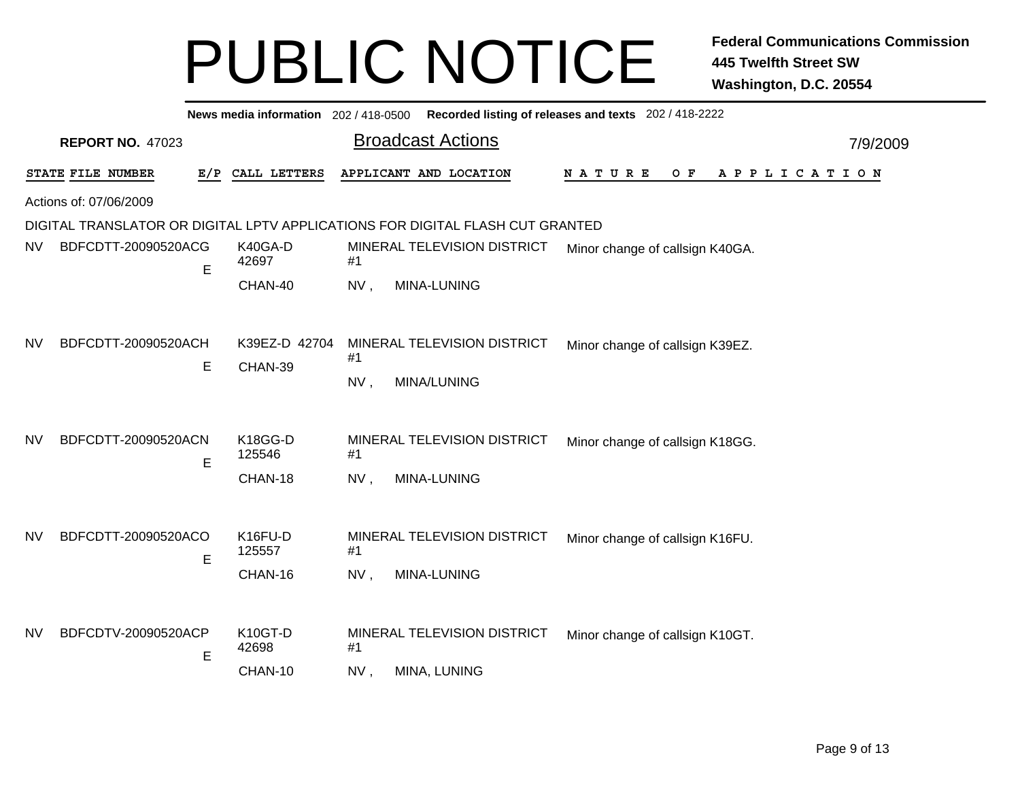|           |                          | News media information 202 / 418-0500 |                                                                               | Recorded listing of releases and texts 202 / 418-2222 |
|-----------|--------------------------|---------------------------------------|-------------------------------------------------------------------------------|-------------------------------------------------------|
|           | <b>REPORT NO. 47023</b>  |                                       | <b>Broadcast Actions</b>                                                      | 7/9/2009                                              |
|           | STATE FILE NUMBER        | CALL LETTERS<br>E/P                   | APPLICANT AND LOCATION                                                        | N A T U R E<br>$O$ F<br>A P P L I C A T I O N         |
|           | Actions of: 07/06/2009   |                                       |                                                                               |                                                       |
|           |                          |                                       | DIGITAL TRANSLATOR OR DIGITAL LPTV APPLICATIONS FOR DIGITAL FLASH CUT GRANTED |                                                       |
| <b>NV</b> | BDFCDTT-20090520ACG      | K40GA-D<br>42697<br>E                 | MINERAL TELEVISION DISTRICT<br>#1                                             | Minor change of callsign K40GA.                       |
|           |                          | CHAN-40                               | NV,<br>MINA-LUNING                                                            |                                                       |
| <b>NV</b> | BDFCDTT-20090520ACH      | K39EZ-D 42704                         | MINERAL TELEVISION DISTRICT                                                   | Minor change of callsign K39EZ.                       |
|           |                          | Е<br>CHAN-39                          | #1                                                                            |                                                       |
|           |                          |                                       | NV,<br><b>MINA/LUNING</b>                                                     |                                                       |
| <b>NV</b> | BDFCDTT-20090520ACN<br>Е | K18GG-D<br>125546<br>CHAN-18          | MINERAL TELEVISION DISTRICT<br>#1<br>NV,<br>MINA-LUNING                       | Minor change of callsign K18GG.                       |
| <b>NV</b> | BDFCDTT-20090520ACO      | K16FU-D<br>125557<br>E<br>CHAN-16     | MINERAL TELEVISION DISTRICT<br>#1<br>MINA-LUNING<br>NV,                       | Minor change of callsign K16FU.                       |
| <b>NV</b> | BDFCDTV-20090520ACP      | K10GT-D<br>42698<br>E<br>CHAN-10      | MINERAL TELEVISION DISTRICT<br>#1<br>NV,<br>MINA, LUNING                      | Minor change of callsign K10GT.                       |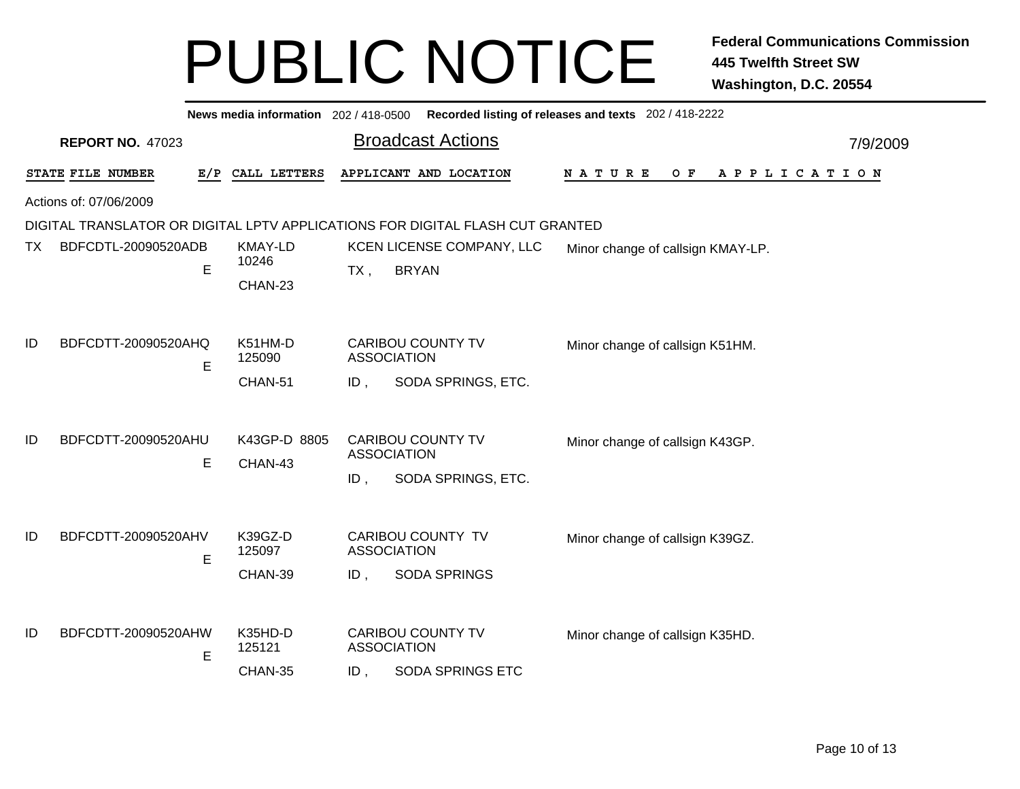|     |                         |     |                   |        | News media information 202 / 418-0500 Recorded listing of releases and texts 202 / 418-2222 |                                             |          |
|-----|-------------------------|-----|-------------------|--------|---------------------------------------------------------------------------------------------|---------------------------------------------|----------|
|     | <b>REPORT NO. 47023</b> |     |                   |        | <b>Broadcast Actions</b>                                                                    |                                             | 7/9/2009 |
|     | STATE FILE NUMBER       | E/P | CALL LETTERS      |        | APPLICANT AND LOCATION                                                                      | N A T U R E<br>A P P L I C A T I O N<br>O F |          |
|     | Actions of: 07/06/2009  |     |                   |        |                                                                                             |                                             |          |
|     |                         |     |                   |        | DIGITAL TRANSLATOR OR DIGITAL LPTV APPLICATIONS FOR DIGITAL FLASH CUT GRANTED               |                                             |          |
| TX. | BDFCDTL-20090520ADB     |     | <b>KMAY-LD</b>    |        | KCEN LICENSE COMPANY, LLC                                                                   | Minor change of callsign KMAY-LP.           |          |
|     |                         | Е   | 10246             | $TX$ , | <b>BRYAN</b>                                                                                |                                             |          |
|     |                         |     | CHAN-23           |        |                                                                                             |                                             |          |
|     |                         |     |                   |        |                                                                                             |                                             |          |
| ID  | BDFCDTT-20090520AHQ     |     | K51HM-D           |        | <b>CARIBOU COUNTY TV</b>                                                                    | Minor change of callsign K51HM.             |          |
|     |                         | E   | 125090            |        | <b>ASSOCIATION</b>                                                                          |                                             |          |
|     |                         |     | CHAN-51           | ID,    | SODA SPRINGS, ETC.                                                                          |                                             |          |
|     |                         |     |                   |        |                                                                                             |                                             |          |
| ID  | BDFCDTT-20090520AHU     |     |                   |        | <b>CARIBOU COUNTY TV</b>                                                                    |                                             |          |
|     |                         |     | K43GP-D 8805      |        | <b>ASSOCIATION</b>                                                                          | Minor change of callsign K43GP.             |          |
|     |                         | E   | CHAN-43           | ID,    | SODA SPRINGS, ETC.                                                                          |                                             |          |
|     |                         |     |                   |        |                                                                                             |                                             |          |
|     |                         |     |                   |        |                                                                                             |                                             |          |
| ID  | BDFCDTT-20090520AHV     |     | K39GZ-D<br>125097 |        | CARIBOU COUNTY TV<br><b>ASSOCIATION</b>                                                     | Minor change of callsign K39GZ.             |          |
|     |                         | E   | CHAN-39           | ID,    | <b>SODA SPRINGS</b>                                                                         |                                             |          |
|     |                         |     |                   |        |                                                                                             |                                             |          |
|     |                         |     |                   |        |                                                                                             |                                             |          |
| ID  | BDFCDTT-20090520AHW     |     | K35HD-D           |        | <b>CARIBOU COUNTY TV</b>                                                                    | Minor change of callsign K35HD.             |          |
|     |                         | E   | 125121            |        | <b>ASSOCIATION</b>                                                                          |                                             |          |
|     |                         |     | CHAN-35           | $ID$ , | <b>SODA SPRINGS ETC</b>                                                                     |                                             |          |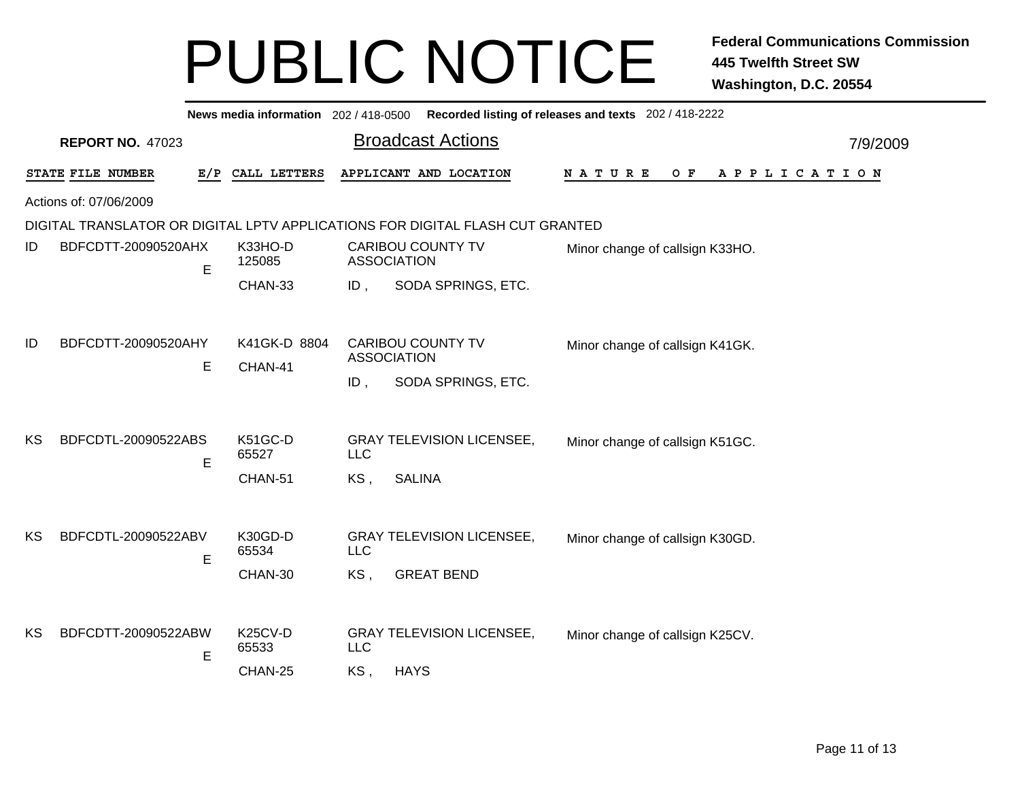|    |                         |     |                   |            | News media information 202/418-0500 Recorded listing of releases and texts 202/418-2222 |                                             |          |
|----|-------------------------|-----|-------------------|------------|-----------------------------------------------------------------------------------------|---------------------------------------------|----------|
|    | <b>REPORT NO. 47023</b> |     |                   |            | <b>Broadcast Actions</b>                                                                |                                             | 7/9/2009 |
|    | STATE FILE NUMBER       | E/P | CALL LETTERS      |            | APPLICANT AND LOCATION                                                                  | N A T U R E<br>O F<br>A P P L I C A T I O N |          |
|    | Actions of: 07/06/2009  |     |                   |            |                                                                                         |                                             |          |
|    |                         |     |                   |            | DIGITAL TRANSLATOR OR DIGITAL LPTV APPLICATIONS FOR DIGITAL FLASH CUT GRANTED           |                                             |          |
| ID | BDFCDTT-20090520AHX     | E   | K33HO-D<br>125085 |            | <b>CARIBOU COUNTY TV</b><br><b>ASSOCIATION</b>                                          | Minor change of callsign K33HO.             |          |
|    |                         |     | CHAN-33           | ID,        | SODA SPRINGS, ETC.                                                                      |                                             |          |
|    |                         |     |                   |            |                                                                                         |                                             |          |
| ID | BDFCDTT-20090520AHY     |     | K41GK-D 8804      |            | <b>CARIBOU COUNTY TV</b><br><b>ASSOCIATION</b>                                          | Minor change of callsign K41GK.             |          |
|    |                         | Е   | CHAN-41           | $ID$ ,     | SODA SPRINGS, ETC.                                                                      |                                             |          |
|    |                         |     |                   |            |                                                                                         |                                             |          |
| КS | BDFCDTL-20090522ABS     | E   | K51GC-D<br>65527  | <b>LLC</b> | <b>GRAY TELEVISION LICENSEE,</b>                                                        | Minor change of callsign K51GC.             |          |
|    |                         |     | CHAN-51           | KS,        | <b>SALINA</b>                                                                           |                                             |          |
|    |                         |     |                   |            |                                                                                         |                                             |          |
| KS | BDFCDTL-20090522ABV     |     | K30GD-D<br>65534  | <b>LLC</b> | <b>GRAY TELEVISION LICENSEE,</b>                                                        | Minor change of callsign K30GD.             |          |
|    |                         | E   | CHAN-30           | KS,        | <b>GREAT BEND</b>                                                                       |                                             |          |
|    |                         |     |                   |            |                                                                                         |                                             |          |
|    |                         |     |                   |            |                                                                                         |                                             |          |
| KS | BDFCDTT-20090522ABW     | E   | K25CV-D<br>65533  | <b>LLC</b> | <b>GRAY TELEVISION LICENSEE,</b>                                                        | Minor change of callsign K25CV.             |          |
|    |                         |     | CHAN-25           | KS,        | <b>HAYS</b>                                                                             |                                             |          |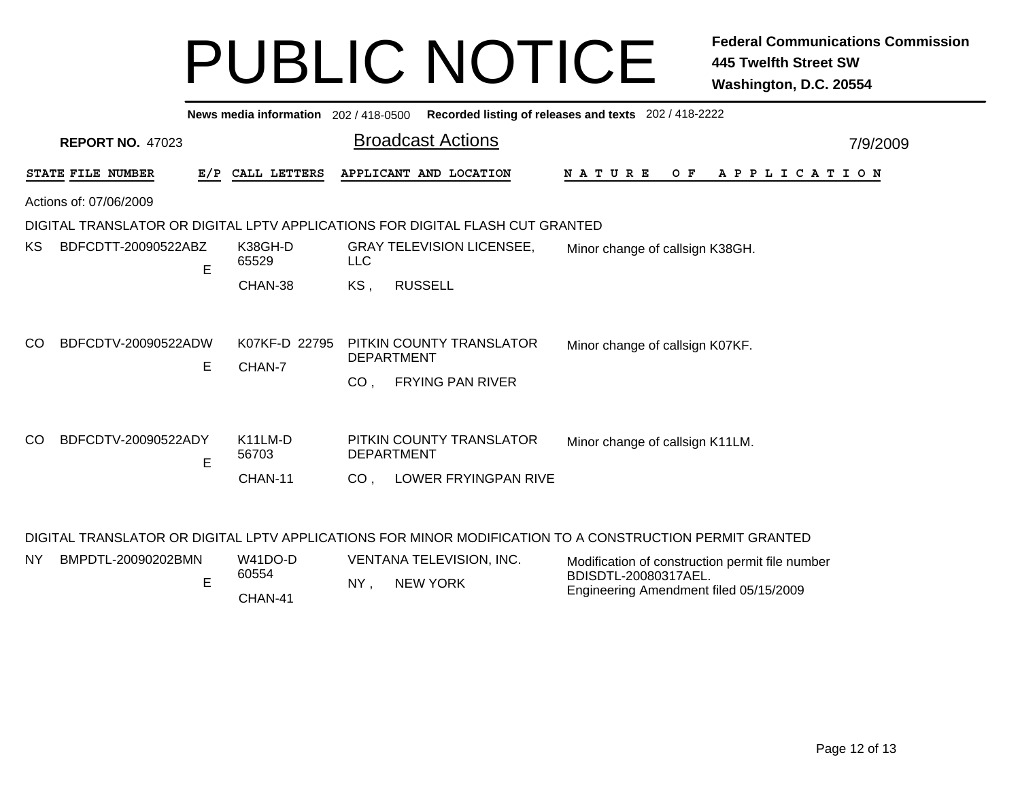|                                                                                                         | News media information 202/418-0500 |                                                                               | Recorded listing of releases and texts 202 / 418-2222 |  |  |  |  |  |  |
|---------------------------------------------------------------------------------------------------------|-------------------------------------|-------------------------------------------------------------------------------|-------------------------------------------------------|--|--|--|--|--|--|
| <b>REPORT NO. 47023</b>                                                                                 |                                     | <b>Broadcast Actions</b>                                                      | 7/9/2009                                              |  |  |  |  |  |  |
| STATE FILE NUMBER                                                                                       | E/P CALL LETTERS                    | APPLICANT AND LOCATION                                                        | OF APPLICATION<br>N A T U R E                         |  |  |  |  |  |  |
| Actions of: 07/06/2009                                                                                  |                                     |                                                                               |                                                       |  |  |  |  |  |  |
|                                                                                                         |                                     | DIGITAL TRANSLATOR OR DIGITAL LPTV APPLICATIONS FOR DIGITAL FLASH CUT GRANTED |                                                       |  |  |  |  |  |  |
| BDFCDTT-20090522ABZ<br>KS.<br>E                                                                         | K38GH-D<br>65529                    | <b>GRAY TELEVISION LICENSEE,</b><br><b>LLC</b>                                | Minor change of callsign K38GH.                       |  |  |  |  |  |  |
|                                                                                                         | CHAN-38                             | <b>RUSSELL</b><br>KS,                                                         |                                                       |  |  |  |  |  |  |
| BDFCDTV-20090522ADW<br><sub>CO</sub><br>Е                                                               | K07KF-D 22795<br>CHAN-7             | PITKIN COUNTY TRANSLATOR<br><b>DEPARTMENT</b>                                 | Minor change of callsign K07KF.                       |  |  |  |  |  |  |
|                                                                                                         |                                     | FRYING PAN RIVER<br>CO <sub>1</sub>                                           |                                                       |  |  |  |  |  |  |
|                                                                                                         |                                     |                                                                               |                                                       |  |  |  |  |  |  |
| BDFCDTV-20090522ADY<br><sub>CO</sub><br>E                                                               | K <sub>11</sub> LM-D<br>56703       | PITKIN COUNTY TRANSLATOR<br><b>DEPARTMENT</b>                                 | Minor change of callsign K11LM.                       |  |  |  |  |  |  |
|                                                                                                         | CHAN-11                             | LOWER FRYINGPAN RIVE<br>CO <sub>1</sub>                                       |                                                       |  |  |  |  |  |  |
| DIGITAL TRANSLATOR OR DIGITAL LPTV APPLICATIONS FOR MINOR MODIFICATION TO A CONSTRUCTION PERMIT GRANTED |                                     |                                                                               |                                                       |  |  |  |  |  |  |

| <b>NY</b> | BMPDTL-20090202BMN | W41DO-D          | VENTANA TELEVISION. INC. | Modification of construction permit file number                |
|-----------|--------------------|------------------|--------------------------|----------------------------------------------------------------|
|           |                    | 60554<br>CHAN-41 | NEW YORK<br>NY           | BDISDTL-20080317AEL.<br>Engineering Amendment filed 05/15/2009 |